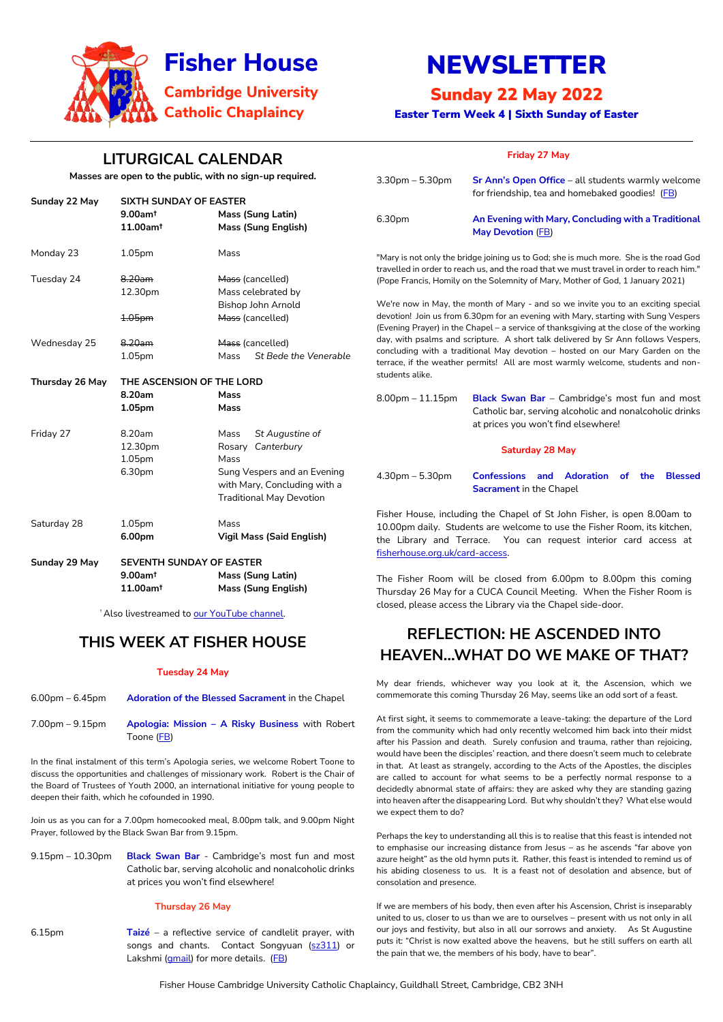Fisher House Cambridge University Catholic Chaplaincy, Guildhall Street, Cambridge, CB2 3NH



# NEWSLETTER

# Sunday 22 May 2022

Easter Term Week 4 | Sixth Sunday of Easter

# **LITURGICAL CALENDAR**

**Masses are open to the public, with no sign-up required.**

7.00pm – 9.15pm **Apologia: Mission – A Risky Business** with Robert Toone [\(FB\)](http://www.facebook.com/events/450979766695660)

6.15pm **Taizé** – a reflective service of candlelit prayer, with songs and chants. Contact Songyuan [\(sz311\)](https://universityofcambridgecloud-my.sharepoint.com/personal/mb2481_cam_ac_uk/Documents/Fisher%20House/Newsletters%202021-22/sz311) or Lakshmi [\(gmail\)](mailto:lakshmi.piette@gmail.com) for more details. [\(FB\)](https://www.facebook.com/events/834060861329658)

# **THIS WEEK AT FISHER HOUSE**

### **Tuesday 24 May**

| 6.00pm – 6.45pm | <b>Adoration of the Blessed Sacrament in the Chapel</b> |
|-----------------|---------------------------------------------------------|
|                 |                                                         |
|                 |                                                         |

In the final instalment of this term's Apologia series, we welcome Robert Toone to discuss the opportunities and challenges of missionary work. Robert is the Chair of the Board of Trustees of Youth 2000, an international initiative for young people to deepen their faith, which he cofounded in 1990.

Join us as you can for a 7.00pm homecooked meal, 8.00pm talk, and 9.00pm Night Prayer, followed by the Black Swan Bar from 9.15pm.

9.15pm – 10.30pm **Black Swan Bar** - Cambridge's most fun and most Catholic bar, serving alcoholic and nonalcoholic drinks at prices you won't find elsewhere!

#### **Thursday 26 May**

| Sunday 22 May          | <b>SIXTH SUNDAY OF EASTER</b><br>$9.00$ am <sup>t</sup><br><b>Mass (Sung Latin)</b> |                                                                                                |                                                                                                                                                                                   | for friendship, tea and homebaked goodies! (FB)                                                   |  |
|------------------------|-------------------------------------------------------------------------------------|------------------------------------------------------------------------------------------------|-----------------------------------------------------------------------------------------------------------------------------------------------------------------------------------|---------------------------------------------------------------------------------------------------|--|
|                        | 11.00am <sup>t</sup>                                                                | <b>Mass (Sung English)</b>                                                                     | 6.30pm                                                                                                                                                                            | An Evening with Mary, Concluding with a Traditional<br><b>May Devotion (FB)</b>                   |  |
| Monday 23              | 1.05 <sub>pm</sub>                                                                  | Mass                                                                                           | "Mary is not only the bridge joining us to God; she is much more. She is the road God<br>travelled in order to reach us, and the road that we must travel in order to reach him." |                                                                                                   |  |
| Tuesday 24             | 8.20am                                                                              | Mass (cancelled)                                                                               | (Pope Francis, Homily on the Solemnity of Mary, Mother of God, 1 January 2021)                                                                                                    |                                                                                                   |  |
|                        | 12.30pm                                                                             | Mass celebrated by                                                                             |                                                                                                                                                                                   |                                                                                                   |  |
|                        |                                                                                     | Bishop John Arnold                                                                             | We're now in May, the month of Mary - and so we invite you to an exciting special                                                                                                 |                                                                                                   |  |
|                        | 1.05pm                                                                              | Mass (cancelled)                                                                               |                                                                                                                                                                                   | devotion! Join us from 6.30pm for an evening with Mary, starting with Sung Vespers                |  |
|                        |                                                                                     |                                                                                                |                                                                                                                                                                                   | (Evening Prayer) in the Chapel - a service of thanksgiving at the close of the working            |  |
| Wednesday 25           | 8.20am                                                                              | Mass (cancelled)                                                                               | day, with psalms and scripture. A short talk delivered by Sr Ann follows Vespers,                                                                                                 |                                                                                                   |  |
|                        | 1.05 <sub>pm</sub>                                                                  | St Bede the Venerable<br>Mass                                                                  | concluding with a traditional May devotion - hosted on our Mary Garden on the<br>terrace, if the weather permits! All are most warmly welcome, students and non-                  |                                                                                                   |  |
| <b>Thursday 26 May</b> | students alike.<br>THE ASCENSION OF THE LORD                                        |                                                                                                |                                                                                                                                                                                   |                                                                                                   |  |
|                        | 8.20am                                                                              | <b>Mass</b>                                                                                    | $8.00$ pm $-11.15$ pm                                                                                                                                                             | Black Swan Bar - Cambridge's most fun and most                                                    |  |
|                        | 1.05pm                                                                              | Mass                                                                                           |                                                                                                                                                                                   | Catholic bar, serving alcoholic and nonalcoholic drinks<br>at prices you won't find elsewhere!    |  |
| Friday 27              | 8.20am                                                                              | St Augustine of<br>Mass                                                                        |                                                                                                                                                                                   |                                                                                                   |  |
|                        | 12.30pm                                                                             | Rosary Canterbury                                                                              |                                                                                                                                                                                   | <b>Saturday 28 May</b>                                                                            |  |
|                        | 1.05 <sub>pm</sub>                                                                  | Mass                                                                                           |                                                                                                                                                                                   |                                                                                                   |  |
|                        | 6.30pm                                                                              | Sung Vespers and an Evening<br>with Mary, Concluding with a<br><b>Traditional May Devotion</b> | $4.30pm - 5.30pm$                                                                                                                                                                 | <b>Confessions and Adoration</b><br>of<br>the<br><b>Blessed</b><br><b>Sacrament in the Chapel</b> |  |
|                        |                                                                                     |                                                                                                | Fisher House, including the Chapel of St John Fisher, is open 8.00am to                                                                                                           |                                                                                                   |  |
| Saturday 28            | 1.05pm                                                                              | Mass                                                                                           | 10.00pm daily. Students are welcome to use the Fisher Room, its kitchen,                                                                                                          |                                                                                                   |  |
|                        | 6.00pm                                                                              | <b>Vigil Mass (Said English)</b>                                                               | the Library and Terrace. You can request interior card access at<br>fisherhouse.org.uk/card-access.                                                                               |                                                                                                   |  |
| Sunday 29 May          | SEVENTH SUNDAY OF EASTER                                                            |                                                                                                |                                                                                                                                                                                   |                                                                                                   |  |
|                        | $9.00$ am <sup>t</sup>                                                              | Mass (Sung Latin)                                                                              | The Fisher Room will be closed from 6.00pm to 8.00pm this coming<br>Thursday 26 May for a CUCA Council Meeting. When the Fisher Room is                                           |                                                                                                   |  |
|                        | 11.00am <sup>t</sup>                                                                | <b>Mass (Sung English)</b>                                                                     |                                                                                                                                                                                   |                                                                                                   |  |

<sup>†</sup> Also livestreamed to [our YouTube channel.](https://www.youtube.com/channel/UCCBAeRj17nD5awJnlsCzQDw)

**Friday 27 May**

3.30pm – 5.30pm

**Sr Ann's Open Office** – all students warmly welcome

closed, please access the Library via the Chapel side-door.

**REFLECTION: HE ASCENDED INTO** 

**HEAVEN…WHAT DO WE MAKE OF THAT?**

My dear friends, whichever way you look at it, the Ascension, which we commemorate this coming Thursday 26 May, seems like an odd sort of a feast. At first sight, it seems to commemorate a leave-taking: the departure of the Lord

from the community which had only recently welcomed him back into their midst after his Passion and death. Surely confusion and trauma, rather than rejoicing, would have been the disciples' reaction, and there doesn't seem much to celebrate in that. At least as strangely, according to the Acts of the Apostles, the disciples are called to account for what seems to be a perfectly normal response to a decidedly abnormal state of affairs: they are asked why they are standing gazing into heaven after the disappearing Lord. But why shouldn't they? What else would we expect them to do?

Perhaps the key to understanding all this is to realise that this feast is intended not to emphasise our increasing distance from Jesus – as he ascends "far above yon azure height" as the old hymn puts it. Rather, this feast is intended to remind us of his abiding closeness to us. It is a feast not of desolation and absence, but of consolation and presence.

If we are members of his body, then even after his Ascension, Christ is inseparably united to us, closer to us than we are to ourselves – present with us not only in all our joys and festivity, but also in all our sorrows and anxiety. As St Augustine puts it: "Christ is now exalted above the heavens, but he still suffers on earth all the pain that we, the members of his body, have to bear".